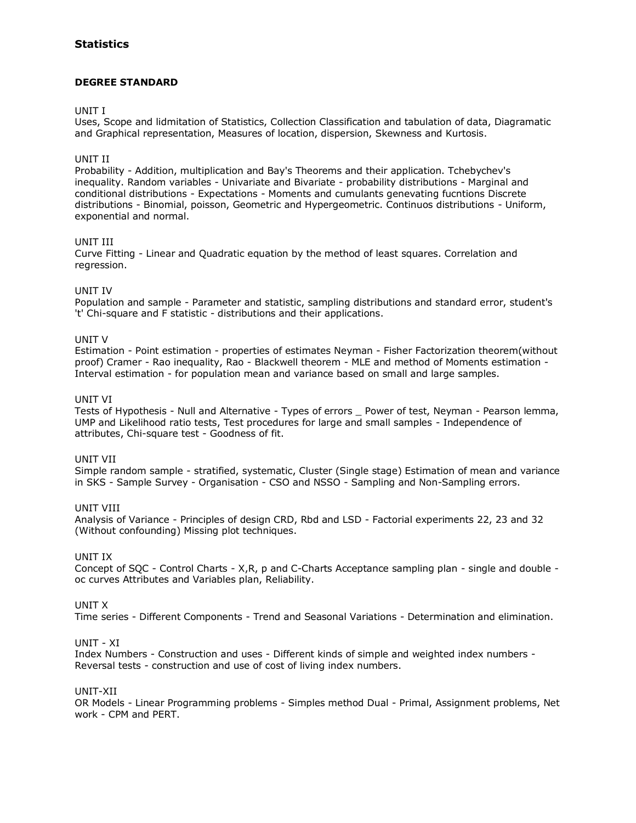## **Statistics**

## **DEGREE STANDARD**

### UNIT I

Uses, Scope and lidmitation of Statistics, Collection Classification and tabulation of data, Diagramatic and Graphical representation, Measures of location, dispersion, Skewness and Kurtosis.

## UNIT II

Probability - Addition, multiplication and Bay's Theorems and their application. Tchebychev's inequality. Random variables - Univariate and Bivariate - probability distributions - Marginal and conditional distributions - Expectations - Moments and cumulants genevating fucntions Discrete distributions - Binomial, poisson, Geometric and Hypergeometric. Continuos distributions - Uniform, exponential and normal.

## UNIT III

Curve Fitting - Linear and Quadratic equation by the method of least squares. Correlation and regression.

## UNIT IV

Population and sample - Parameter and statistic, sampling distributions and standard error, student's 't' Chi-square and F statistic - distributions and their applications.

## UNIT V

Estimation - Point estimation - properties of estimates Neyman - Fisher Factorization theorem(without proof) Cramer - Rao inequality, Rao - Blackwell theorem - MLE and method of Moments estimation - Interval estimation - for population mean and variance based on small and large samples.

## UNIT VI

Tests of Hypothesis - Null and Alternative - Types of errors \_ Power of test, Neyman - Pearson lemma, UMP and Likelihood ratio tests, Test procedures for large and small samples - Independence of attributes, Chi-square test - Goodness of fit.

#### UNIT VII

Simple random sample - stratified, systematic, Cluster (Single stage) Estimation of mean and variance in SKS - Sample Survey - Organisation - CSO and NSSO - Sampling and Non-Sampling errors.

#### UNIT VIII

Analysis of Variance - Principles of design CRD, Rbd and LSD - Factorial experiments 22, 23 and 32 (Without confounding) Missing plot techniques.

#### UNIT IX

Concept of SQC - Control Charts - X,R, p and C-Charts Acceptance sampling plan - single and double oc curves Attributes and Variables plan, Reliability.

### UNIT X

Time series - Different Components - Trend and Seasonal Variations - Determination and elimination.

#### UNIT - XI

Index Numbers - Construction and uses - Different kinds of simple and weighted index numbers - Reversal tests - construction and use of cost of living index numbers.

### UNIT-XII

OR Models - Linear Programming problems - Simples method Dual - Primal, Assignment problems, Net work - CPM and PERT.